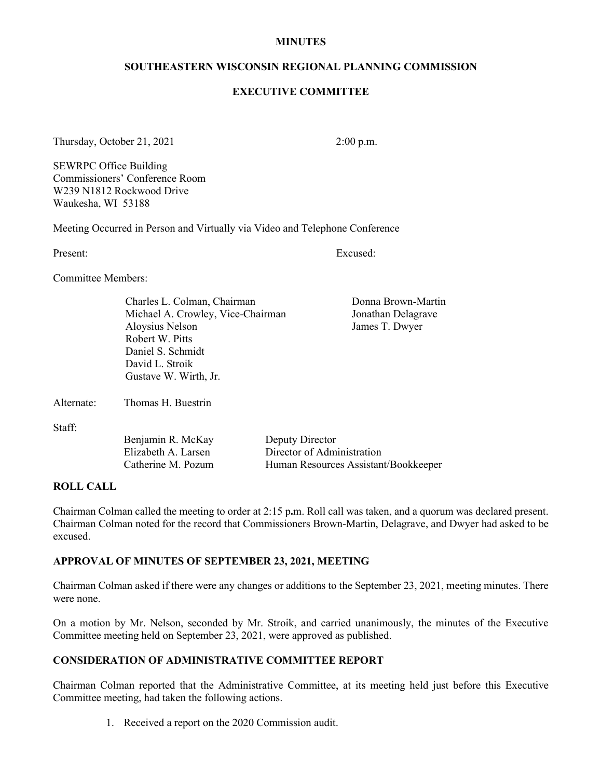#### **MINUTES**

#### **SOUTHEASTERN WISCONSIN REGIONAL PLANNING COMMISSION**

#### **EXECUTIVE COMMITTEE**

Thursday, October 21, 2021 2:00 p.m.

SEWRPC Office Building Commissioners' Conference Room W239 N1812 Rockwood Drive Waukesha, WI 53188

Meeting Occurred in Person and Virtually via Video and Telephone Conference

Present: Excused:

Committee Members:

Charles L. Colman, Chairman Donna Brown-Martin Michael A. Crowley, Vice-Chairman Jonathan Delagrave Aloysius Nelson James T. Dwyer Robert W. Pitts Daniel S. Schmidt David L. Stroik Gustave W. Wirth, Jr.

Alternate: Thomas H. Buestrin

Staff:

| Benjamin R. McKay   | Deputy Director                      |
|---------------------|--------------------------------------|
| Elizabeth A. Larsen | Director of Administration           |
| Catherine M. Pozum  | Human Resources Assistant/Bookkeeper |

## **ROLL CALL**

Chairman Colman called the meeting to order at 2:15 p**.**m. Roll call was taken, and a quorum was declared present. Chairman Colman noted for the record that Commissioners Brown-Martin, Delagrave, and Dwyer had asked to be excused.

### **APPROVAL OF MINUTES OF SEPTEMBER 23, 2021, MEETING**

Chairman Colman asked if there were any changes or additions to the September 23, 2021, meeting minutes. There were none.

On a motion by Mr. Nelson, seconded by Mr. Stroik, and carried unanimously, the minutes of the Executive Committee meeting held on September 23, 2021, were approved as published.

# **CONSIDERATION OF ADMINISTRATIVE COMMITTEE REPORT**

Chairman Colman reported that the Administrative Committee, at its meeting held just before this Executive Committee meeting, had taken the following actions.

1. Received a report on the 2020 Commission audit.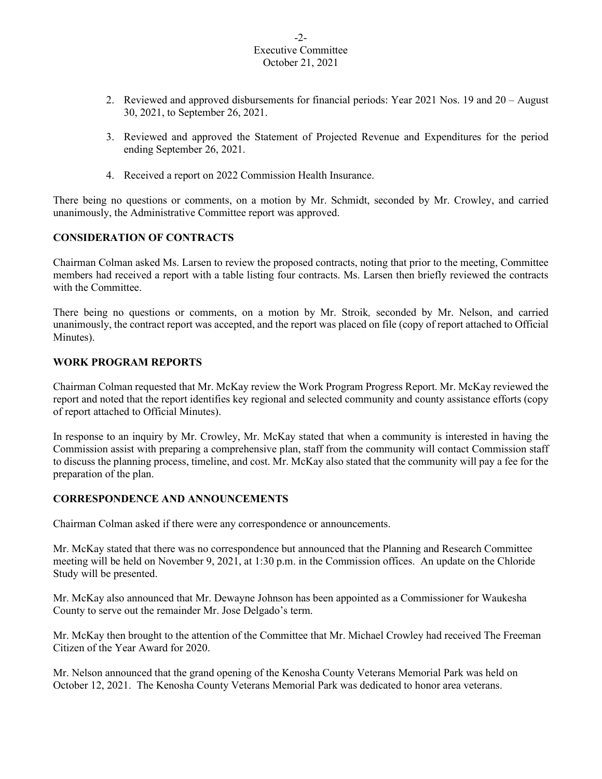#### -2- Executive Committee October 21, 2021

- 2. Reviewed and approved disbursements for financial periods: Year 2021 Nos. 19 and 20 August 30, 2021, to September 26, 2021.
- 3. Reviewed and approved the Statement of Projected Revenue and Expenditures for the period ending September 26, 2021.
- 4. Received a report on 2022 Commission Health Insurance.

There being no questions or comments, on a motion by Mr. Schmidt, seconded by Mr. Crowley, and carried unanimously, the Administrative Committee report was approved.

# **CONSIDERATION OF CONTRACTS**

Chairman Colman asked Ms. Larsen to review the proposed contracts, noting that prior to the meeting, Committee members had received a report with a table listing four contracts. Ms. Larsen then briefly reviewed the contracts with the Committee.

There being no questions or comments, on a motion by Mr. Stroik*,* seconded by Mr. Nelson, and carried unanimously, the contract report was accepted, and the report was placed on file (copy of report attached to Official Minutes).

# **WORK PROGRAM REPORTS**

Chairman Colman requested that Mr. McKay review the Work Program Progress Report. Mr. McKay reviewed the report and noted that the report identifies key regional and selected community and county assistance efforts (copy of report attached to Official Minutes).

In response to an inquiry by Mr. Crowley, Mr. McKay stated that when a community is interested in having the Commission assist with preparing a comprehensive plan, staff from the community will contact Commission staff to discuss the planning process, timeline, and cost. Mr. McKay also stated that the community will pay a fee for the preparation of the plan.

### **CORRESPONDENCE AND ANNOUNCEMENTS**

Chairman Colman asked if there were any correspondence or announcements.

Mr. McKay stated that there was no correspondence but announced that the Planning and Research Committee meeting will be held on November 9, 2021, at 1:30 p.m. in the Commission offices. An update on the Chloride Study will be presented.

Mr. McKay also announced that Mr. Dewayne Johnson has been appointed as a Commissioner for Waukesha County to serve out the remainder Mr. Jose Delgado's term.

Mr. McKay then brought to the attention of the Committee that Mr. Michael Crowley had received The Freeman Citizen of the Year Award for 2020.

Mr. Nelson announced that the grand opening of the Kenosha County Veterans Memorial Park was held on October 12, 2021. The Kenosha County Veterans Memorial Park was dedicated to honor area veterans.